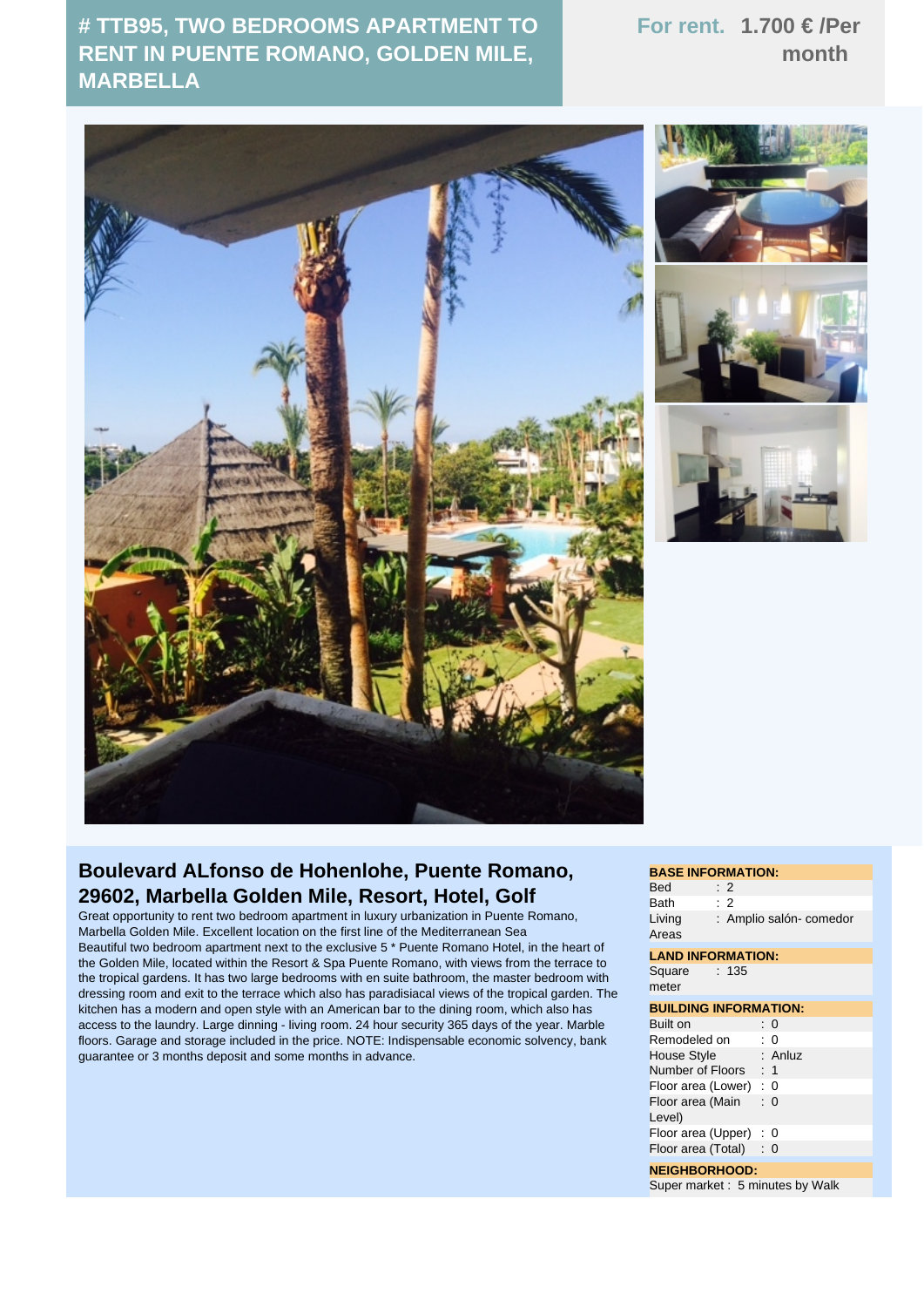## **# TTB95, TWO BEDROOMS APARTMENT TO RENT IN PUENTE ROMANO, GOLDEN MILE, MARBELLA**

## **For rent. 1.700 € /Per month**





## **Boulevard ALfonso de Hohenlohe, Puente Romano, 29602, Marbella Golden Mile, Resort, Hotel, Golf**

Great opportunity to rent two bedroom apartment in luxury urbanization in Puente Romano, Marbella Golden Mile. Excellent location on the first line of the Mediterranean Sea Beautiful two bedroom apartment next to the exclusive 5 \* Puente Romano Hotel, in the heart of the Golden Mile, located within the Resort & Spa Puente Romano, with views from the terrace to the tropical gardens. It has two large bedrooms with en suite bathroom, the master bedroom with dressing room and exit to the terrace which also has paradisiacal views of the tropical garden. The kitchen has a modern and open style with an American bar to the dining room, which also has access to the laundry. Large dinning - living room. 24 hour security 365 days of the year. Marble floors. Garage and storage included in the price. NOTE: Indispensable economic solvency, bank guarantee or 3 months deposit and some months in advance.

## **BASE INFORMATION:** Bed : 2 Bath : 2 Living Areas : Amplio salón- comedor **LAND INFORMATION: Square** meter : 135 **BUILDING INFORMATION:** Built on : 0 Remodeled on : 0<br>House Style : Anluz House Style Number of Floors : 1 Floor area (Lower) : 0 Floor area (Main : 0 Level) Floor area (Upper) : 0 Floor area (Total) : 0 **NEIGHBORHOOD:**

Super market : 5 minutes by Walk